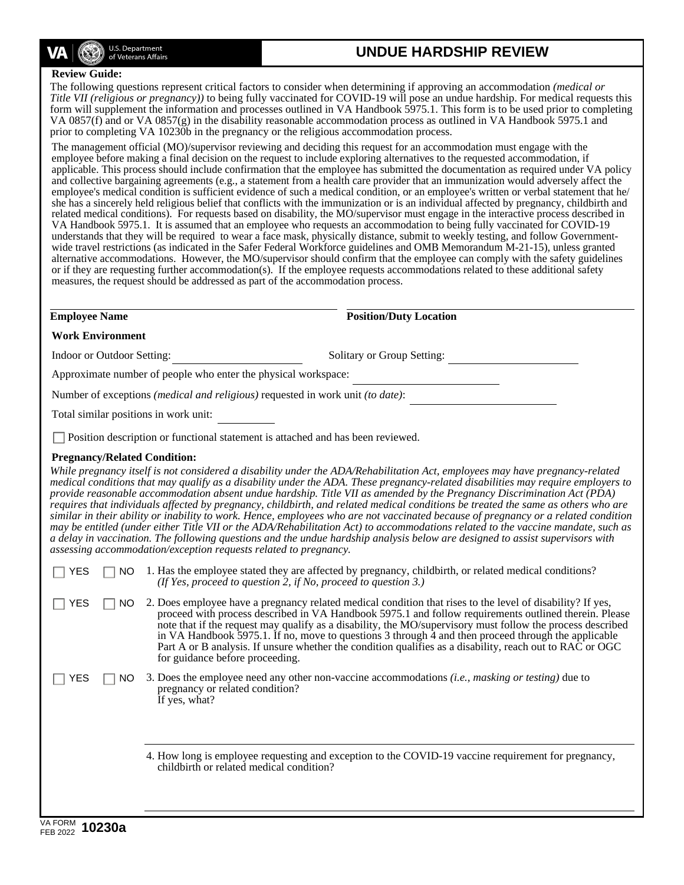

# **UNDUE HARDSHIP REVIEW**

#### **Review Guide:**

The following questions represent critical factors to consider when determining if approving an accommodation *(medical or Title VII (religious or pregnancy))* to being fully vaccinated for COVID-19 will pose an undue hardship. For medical requests this form will supplement the information and processes outlined in VA Handbook 5975.1. This form is to be used prior to completing VA 0857(f) and or VA 0857(g) in the disability reasonable accommodation process as outlined in VA Handbook 5975.1 and prior to completing VA 10230b in the pregnancy or the religious accommodation process.

The management official (MO)/supervisor reviewing and deciding this request for an accommodation must engage with the employee before making a final decision on the request to include exploring alternatives to the requested accommodation, if applicable. This process should include confirmation that the employee has submitted the documentation as required under VA policy and collective bargaining agreements (e.g., a statement from a health care provider that an immunization would adversely affect the employee's medical condition is sufficient evidence of such a medical condition, or an employee's written or verbal statement that he/ she has a sincerely held religious belief that conflicts with the immunization or is an individual affected by pregnancy, childbirth and related medical conditions). For requests based on disability, the MO/supervisor must engage in the interactive process described in VA Handbook 5975.1. It is assumed that an employee who requests an accommodation to being fully vaccinated for COVID-19 understands that they will be required to wear a face mask, physically distance, submit to weekly testing, and follow Governmentwide travel restrictions (as indicated in the Safer Federal Workforce guidelines and OMB Memorandum M-21-15), unless granted alternative accommodations. However, the MO/supervisor should confirm that the employee can comply with the safety guidelines or if they are requesting further accommodation(s). If the employee requests accommodations related to these additional safety measures, the request should be addressed as part of the accommodation process.

**Employee Name Position/Duty Location** 

|  | <b>Work Environment</b> |
|--|-------------------------|
|--|-------------------------|

Indoor or Outdoor Setting: Solitary or Group Setting:

Approximate number of people who enter the physical workspace:

Number of exceptions *(medical and religious)* requested in work unit *(to date)*:

Total similar positions in work unit:

Position description or functional statement is attached and has been reviewed.

# **Pregnancy/Related Condition:**

*While pregnancy itself is not considered a disability under the ADA/Rehabilitation Act, employees may have pregnancy-related medical conditions that may qualify as a disability under the ADA. These pregnancy-related disabilities may require employers to provide reasonable accommodation absent undue hardship. Title VII as amended by the Pregnancy Discrimination Act (PDA) requires that individuals affected by pregnancy, childbirth, and related medical conditions be treated the same as others who are similar in their ability or inability to work. Hence, employees who are not vaccinated because of pregnancy or a related condition may be entitled (under either Title VII or the ADA/Rehabilitation Act) to accommodations related to the vaccine mandate, such as a delay in vaccination. The following questions and the undue hardship analysis below are designed to assist supervisors with assessing accommodation/exception requests related to pregnancy.*

| <b>YES</b> | $\Box$ NO 1. Has the employee stated they are affected by pregnancy, childbirth, or related medical conditions? |
|------------|-----------------------------------------------------------------------------------------------------------------|
|            | (If Yes, proceed to question 2, if No, proceed to question 3.)                                                  |

 $\Box$  YES  $\Box$  NO 2. Does employee have a pregnancy related medical condition that rises to the level of disability? If yes, proceed with process described in VA Handbook 5975.1 and follow requirements outlined therein. Please note that if the request may qualify as a disability, the MO/supervisory must follow the process described in VA Handbook 5975.1. If no, move to questions 3 through 4 and then proceed through the applicable Part A or B analysis. If unsure whether the condition qualifies as a disability, reach out to RAC or OGC for guidance before proceeding.

 $\mathbf{L}$ 

 $\Box$  YES  $\Box$  NO 3. Does the employee need any other non-vaccine accommodations *(i.e., masking or testing)* due to pregnancy or related condition? If yes, what?

> 4. How long is employee requesting and exception to the COVID-19 vaccine requirement for pregnancy, childbirth or related medical condition?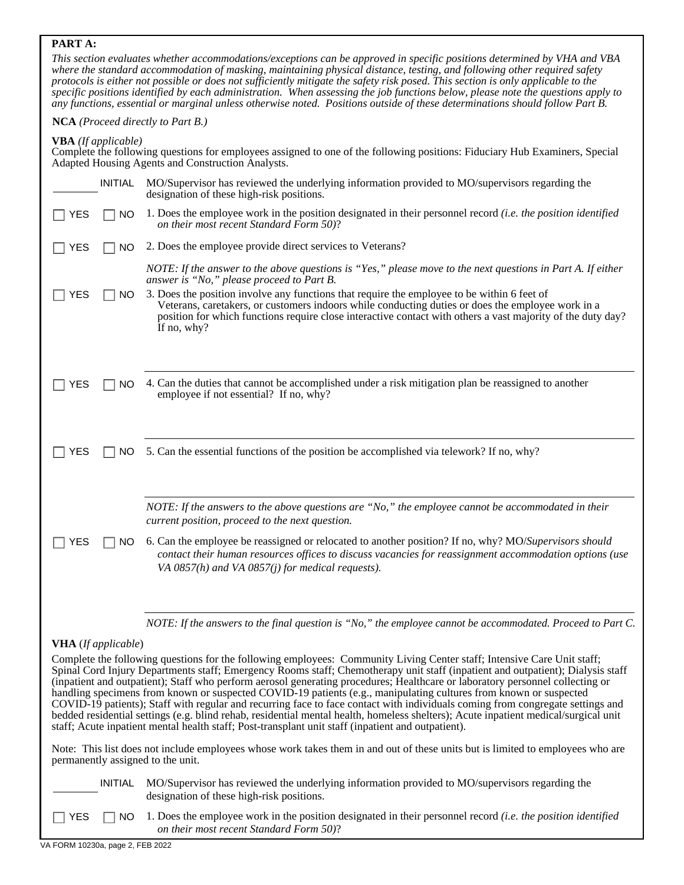# **PART A:**

*This section evaluates whether accommodations/exceptions can be approved in specific positions determined by VHA and VBA where the standard accommodation of masking, maintaining physical distance, testing, and following other required safety protocols is either not possible or does not sufficiently mitigate the safety risk posed. This section is only applicable to the specific positions identified by each administration. When assessing the job functions below, please note the questions apply to any functions, essential or marginal unless otherwise noted. Positions outside of these determinations should follow Part B.*

#### **NCA** *(Proceed directly to Part B.)*

**VBA** *(If applicable)* 

Complete the following questions for employees assigned to one of the following positions: Fiduciary Hub Examiners, Special Adapted Housing Agents and Construction Analysts.

|                            | <b>INITIAL</b> | MO/Supervisor has reviewed the underlying information provided to MO/supervisors regarding the<br>designation of these high-risk positions.                                                                                                                                                                                                                                                                                                                                                                                                                                                                                                                                                                                                                                                                                                                                                     |
|----------------------------|----------------|-------------------------------------------------------------------------------------------------------------------------------------------------------------------------------------------------------------------------------------------------------------------------------------------------------------------------------------------------------------------------------------------------------------------------------------------------------------------------------------------------------------------------------------------------------------------------------------------------------------------------------------------------------------------------------------------------------------------------------------------------------------------------------------------------------------------------------------------------------------------------------------------------|
| YES                        | NO             | 1. Does the employee work in the position designated in their personnel record <i>(i.e. the position identified</i><br>on their most recent Standard Form 50)?                                                                                                                                                                                                                                                                                                                                                                                                                                                                                                                                                                                                                                                                                                                                  |
| <b>YES</b>                 | <b>NO</b>      | 2. Does the employee provide direct services to Veterans?                                                                                                                                                                                                                                                                                                                                                                                                                                                                                                                                                                                                                                                                                                                                                                                                                                       |
| YES                        | NO.            | NOTE: If the answer to the above questions is "Yes," please move to the next questions in Part A. If either<br>answer is "No," please proceed to Part B.<br>3. Does the position involve any functions that require the employee to be within 6 feet of<br>Veterans, caretakers, or customers indoors while conducting duties or does the employee work in a<br>position for which functions require close interactive contact with others a vast majority of the duty day?<br>If no, why?                                                                                                                                                                                                                                                                                                                                                                                                      |
| YES                        | NO.            | 4. Can the duties that cannot be accomplished under a risk mitigation plan be reassigned to another<br>employee if not essential? If no, why?                                                                                                                                                                                                                                                                                                                                                                                                                                                                                                                                                                                                                                                                                                                                                   |
| <b>YES</b>                 | NO.            | 5. Can the essential functions of the position be accomplished via telework? If no, why?                                                                                                                                                                                                                                                                                                                                                                                                                                                                                                                                                                                                                                                                                                                                                                                                        |
|                            |                | NOTE: If the answers to the above questions are "No," the employee cannot be accommodated in their<br>current position, proceed to the next question.                                                                                                                                                                                                                                                                                                                                                                                                                                                                                                                                                                                                                                                                                                                                           |
| YES                        | NO             | 6. Can the employee be reassigned or relocated to another position? If no, why? MO/Supervisors should<br>contact their human resources offices to discuss vacancies for reassignment accommodation options (use<br>VA $0857(h)$ and VA $0857(j)$ for medical requests).                                                                                                                                                                                                                                                                                                                                                                                                                                                                                                                                                                                                                         |
|                            |                | NOTE: If the answers to the final question is "No," the employee cannot be accommodated. Proceed to Part C.                                                                                                                                                                                                                                                                                                                                                                                                                                                                                                                                                                                                                                                                                                                                                                                     |
| <b>VHA</b> (If applicable) |                |                                                                                                                                                                                                                                                                                                                                                                                                                                                                                                                                                                                                                                                                                                                                                                                                                                                                                                 |
|                            |                | Complete the following questions for the following employees: Community Living Center staff; Intensive Care Unit staff;<br>Spinal Cord Injury Departments staff; Emergency Rooms staff; Chemotherapy unit staff (inpatient and outpatient); Dialysis staff<br>(inpatient and outpatient); Staff who perform aerosol generating procedures; Healthcare or laboratory personnel collecting or<br>handling specimens from known or suspected COVID-19 patients (e.g., manipulating cultures from known or suspected<br>COVID-19 patients); Staff with regular and recurring face to face contact with individuals coming from congregate settings and<br>bedded residential settings (e.g. blind rehab, residential mental health, homeless shelters); Acute inpatient medical/surgical unit<br>staff; Acute inpatient mental health staff; Post-transplant unit staff (inpatient and outpatient). |

Note: This list does not include employees whose work takes them in and out of these units but is limited to employees who are permanently assigned to the unit.

 INITIAL MO/Supervisor has reviewed the underlying information provided to MO/supervisors regarding the designation of these high-risk positions.

YES  $\Box$  NO 1. Does the employee work in the position designated in their personnel record *(i.e. the position identified on their most recent Standard Form 50)*?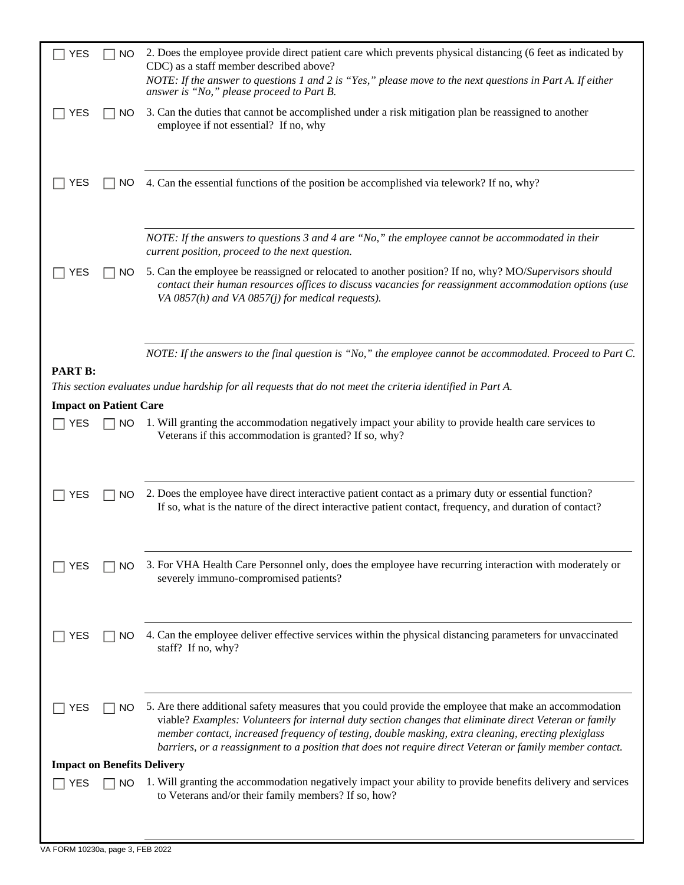| 2. Does the employee provide direct patient care which prevents physical distancing (6 feet as indicated by<br>CDC) as a staff member described above?<br>NOTE: If the answer to questions 1 and 2 is "Yes," please move to the next questions in Part A. If either<br>answer is "No," please proceed to Part B.                                                                                                                    |  |  |
|-------------------------------------------------------------------------------------------------------------------------------------------------------------------------------------------------------------------------------------------------------------------------------------------------------------------------------------------------------------------------------------------------------------------------------------|--|--|
| 3. Can the duties that cannot be accomplished under a risk mitigation plan be reassigned to another<br>employee if not essential? If no, why                                                                                                                                                                                                                                                                                        |  |  |
| 4. Can the essential functions of the position be accomplished via telework? If no, why?                                                                                                                                                                                                                                                                                                                                            |  |  |
| NOTE: If the answers to questions $3$ and $4$ are "No," the employee cannot be accommodated in their<br>current position, proceed to the next question.                                                                                                                                                                                                                                                                             |  |  |
| 5. Can the employee be reassigned or relocated to another position? If no, why? MO/Supervisors should<br>contact their human resources offices to discuss vacancies for reassignment accommodation options (use<br>VA $0857(h)$ and VA $0857(j)$ for medical requests).                                                                                                                                                             |  |  |
| NOTE: If the answers to the final question is "No," the employee cannot be accommodated. Proceed to Part C.                                                                                                                                                                                                                                                                                                                         |  |  |
| This section evaluates undue hardship for all requests that do not meet the criteria identified in Part A.                                                                                                                                                                                                                                                                                                                          |  |  |
| <b>Impact on Patient Care</b>                                                                                                                                                                                                                                                                                                                                                                                                       |  |  |
| 1. Will granting the accommodation negatively impact your ability to provide health care services to<br>Veterans if this accommodation is granted? If so, why?                                                                                                                                                                                                                                                                      |  |  |
| 2. Does the employee have direct interactive patient contact as a primary duty or essential function?<br>If so, what is the nature of the direct interactive patient contact, frequency, and duration of contact?                                                                                                                                                                                                                   |  |  |
| 3. For VHA Health Care Personnel only, does the employee have recurring interaction with moderately or<br>severely immuno-compromised patients?                                                                                                                                                                                                                                                                                     |  |  |
| 4. Can the employee deliver effective services within the physical distancing parameters for unvaccinated<br>staff? If no, why?                                                                                                                                                                                                                                                                                                     |  |  |
| 5. Are there additional safety measures that you could provide the employee that make an accommodation<br>viable? Examples: Volunteers for internal duty section changes that eliminate direct Veteran or family<br>member contact, increased frequency of testing, double masking, extra cleaning, erecting plexiglass<br>barriers, or a reassignment to a position that does not require direct Veteran or family member contact. |  |  |
| <b>Impact on Benefits Delivery</b>                                                                                                                                                                                                                                                                                                                                                                                                  |  |  |
| 1. Will granting the accommodation negatively impact your ability to provide benefits delivery and services<br>to Veterans and/or their family members? If so, how?                                                                                                                                                                                                                                                                 |  |  |
|                                                                                                                                                                                                                                                                                                                                                                                                                                     |  |  |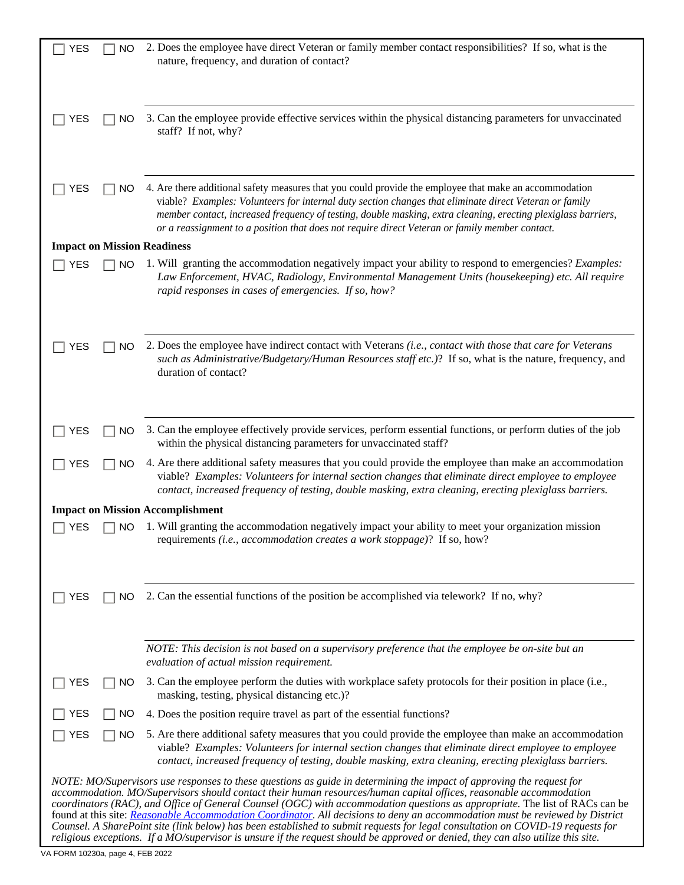| <b>YES</b><br><b>NO</b>            | 2. Does the employee have direct Veteran or family member contact responsibilities? If so, what is the<br>nature, frequency, and duration of contact?                                                                                                                                                                                                                                                                                                                                                                                                                                                                                                                                                                                                                               |
|------------------------------------|-------------------------------------------------------------------------------------------------------------------------------------------------------------------------------------------------------------------------------------------------------------------------------------------------------------------------------------------------------------------------------------------------------------------------------------------------------------------------------------------------------------------------------------------------------------------------------------------------------------------------------------------------------------------------------------------------------------------------------------------------------------------------------------|
| <b>YES</b><br><b>NO</b>            | 3. Can the employee provide effective services within the physical distancing parameters for unvaccinated<br>staff? If not, why?                                                                                                                                                                                                                                                                                                                                                                                                                                                                                                                                                                                                                                                    |
| YES<br>NO.                         | 4. Are there additional safety measures that you could provide the employee that make an accommodation<br>viable? Examples: Volunteers for internal duty section changes that eliminate direct Veteran or family<br>member contact, increased frequency of testing, double masking, extra cleaning, erecting plexiglass barriers,<br>or a reassignment to a position that does not require direct Veteran or family member contact.                                                                                                                                                                                                                                                                                                                                                 |
| <b>Impact on Mission Readiness</b> |                                                                                                                                                                                                                                                                                                                                                                                                                                                                                                                                                                                                                                                                                                                                                                                     |
| <b>YES</b><br>NO.                  | 1. Will granting the accommodation negatively impact your ability to respond to emergencies? <i>Examples</i> :<br>Law Enforcement, HVAC, Radiology, Environmental Management Units (housekeeping) etc. All require<br>rapid responses in cases of emergencies. If so, how?                                                                                                                                                                                                                                                                                                                                                                                                                                                                                                          |
| <b>YES</b><br><b>NO</b>            | 2. Does the employee have indirect contact with Veterans (i.e., contact with those that care for Veterans<br>such as Administrative/Budgetary/Human Resources staff etc.)? If so, what is the nature, frequency, and<br>duration of contact?                                                                                                                                                                                                                                                                                                                                                                                                                                                                                                                                        |
| <b>YES</b><br>NO.                  | 3. Can the employee effectively provide services, perform essential functions, or perform duties of the job<br>within the physical distancing parameters for unvaccinated staff?                                                                                                                                                                                                                                                                                                                                                                                                                                                                                                                                                                                                    |
| <b>YES</b><br>NO.                  | 4. Are there additional safety measures that you could provide the employee than make an accommodation<br>viable? Examples: Volunteers for internal section changes that eliminate direct employee to employee<br>contact, increased frequency of testing, double masking, extra cleaning, erecting plexiglass barriers.                                                                                                                                                                                                                                                                                                                                                                                                                                                            |
|                                    | <b>Impact on Mission Accomplishment</b>                                                                                                                                                                                                                                                                                                                                                                                                                                                                                                                                                                                                                                                                                                                                             |
| <b>YES</b><br>NO.                  | 1. Will granting the accommodation negatively impact your ability to meet your organization mission<br>requirements (i.e., accommodation creates a work stoppage)? If so, how?                                                                                                                                                                                                                                                                                                                                                                                                                                                                                                                                                                                                      |
| <b>NO</b><br><b>YES</b>            | 2. Can the essential functions of the position be accomplished via telework? If no, why?                                                                                                                                                                                                                                                                                                                                                                                                                                                                                                                                                                                                                                                                                            |
|                                    | NOTE: This decision is not based on a supervisory preference that the employee be on-site but an<br>evaluation of actual mission requirement.                                                                                                                                                                                                                                                                                                                                                                                                                                                                                                                                                                                                                                       |
| <b>YES</b><br>NO.                  | 3. Can the employee perform the duties with workplace safety protocols for their position in place (i.e.,<br>masking, testing, physical distancing etc.)?                                                                                                                                                                                                                                                                                                                                                                                                                                                                                                                                                                                                                           |
| <b>NO</b><br>YES                   | 4. Does the position require travel as part of the essential functions?                                                                                                                                                                                                                                                                                                                                                                                                                                                                                                                                                                                                                                                                                                             |
| <b>YES</b><br><b>NO</b>            | 5. Are there additional safety measures that you could provide the employee than make an accommodation<br>viable? Examples: Volunteers for internal section changes that eliminate direct employee to employee<br>contact, increased frequency of testing, double masking, extra cleaning, erecting plexiglass barriers.                                                                                                                                                                                                                                                                                                                                                                                                                                                            |
|                                    | NOTE: MO/Supervisors use responses to these questions as guide in determining the impact of approving the request for<br>accommodation. MO/Supervisors should contact their human resources/human capital offices, reasonable accommodation<br>coordinators (RAC), and Office of General Counsel (OGC) with accommodation questions as appropriate. The list of RACs can be<br>found at this site: Reasonable Accommodation Coordinator. All decisions to deny an accommodation must be reviewed by District<br>Counsel. A SharePoint site (link below) has been established to submit requests for legal consultation on COVID-19 requests for<br>religious exceptions. If a MO/supervisor is unsure if the request should be approved or denied, they can also utilize this site. |